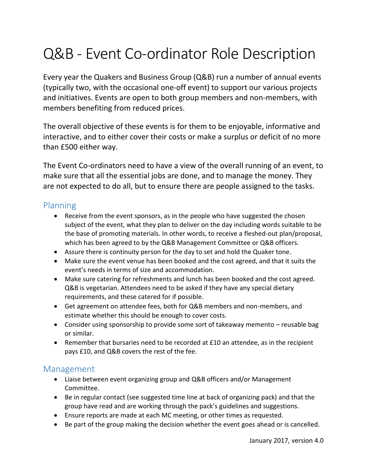# Q&B - Event Co-ordinator Role Description

Every year the Quakers and Business Group (Q&B) run a number of annual events (typically two, with the occasional one-off event) to support our various projects and initiatives. Events are open to both group members and non-members, with members benefiting from reduced prices.

The overall objective of these events is for them to be enjoyable, informative and interactive, and to either cover their costs or make a surplus or deficit of no more than £500 either way.

The Event Co-ordinators need to have a view of the overall running of an event, to make sure that all the essential jobs are done, and to manage the money. They are not expected to do all, but to ensure there are people assigned to the tasks.

#### Planning

- Receive from the event sponsors, as in the people who have suggested the chosen subject of the event, what they plan to deliver on the day including words suitable to be the base of promoting materials. In other words, to receive a fleshed-out plan/proposal, which has been agreed to by the Q&B Management Committee or Q&B officers.
- Assure there is continuity person for the day to set and hold the Quaker tone.
- Make sure the event venue has been booked and the cost agreed, and that it suits the event's needs in terms of size and accommodation.
- Make sure catering for refreshments and lunch has been booked and the cost agreed. Q&B is vegetarian. Attendees need to be asked if they have any special dietary requirements, and these catered for if possible.
- Get agreement on attendee fees, both for Q&B members and non-members, and estimate whether this should be enough to cover costs.
- Consider using sponsorship to provide some sort of takeaway memento reusable bag or similar.
- Remember that bursaries need to be recorded at £10 an attendee, as in the recipient pays £10, and Q&B covers the rest of the fee.

#### Management

- Liaise between event organizing group and Q&B officers and/or Management Committee.
- Be in regular contact (see suggested time line at back of organizing pack) and that the group have read and are working through the pack's guidelines and suggestions.
- Ensure reports are made at each MC meeting, or other times as requested.
- Be part of the group making the decision whether the event goes ahead or is cancelled.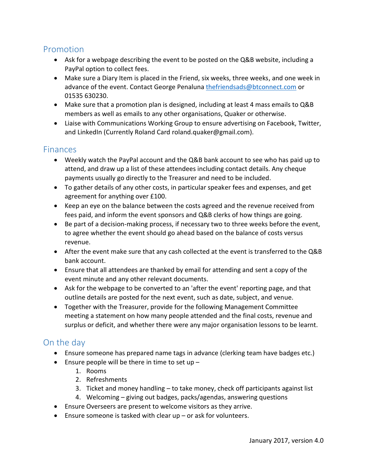## Promotion

- Ask for a webpage describing the event to be posted on the Q&B website, including a PayPal option to collect fees.
- Make sure a Diary Item is placed in the Friend, six weeks, three weeks, and one week in advance of the event. Contact George Penaluna [thefriendsads@btconnect.com](mailto:thefriendsads@btconnect.com) or 01535 630230.
- Make sure that a promotion plan is designed, including at least 4 mass emails to Q&B members as well as emails to any other organisations, Quaker or otherwise.
- Liaise with Communications Working Group to ensure advertising on Facebook, Twitter, and LinkedIn (Currently Roland Card roland.quaker@gmail.com).

## **Finances**

- Weekly watch the PayPal account and the Q&B bank account to see who has paid up to attend, and draw up a list of these attendees including contact details. Any cheque payments usually go directly to the Treasurer and need to be included.
- To gather details of any other costs, in particular speaker fees and expenses, and get agreement for anything over £100.
- Keep an eye on the balance between the costs agreed and the revenue received from fees paid, and inform the event sponsors and Q&B clerks of how things are going.
- Be part of a decision-making process, if necessary two to three weeks before the event, to agree whether the event should go ahead based on the balance of costs versus revenue.
- After the event make sure that any cash collected at the event is transferred to the Q&B bank account.
- Ensure that all attendees are thanked by email for attending and sent a copy of the event minute and any other relevant documents.
- Ask for the webpage to be converted to an 'after the event' reporting page, and that outline details are posted for the next event, such as date, subject, and venue.
- Together with the Treasurer, provide for the following Management Committee meeting a statement on how many people attended and the final costs, revenue and surplus or deficit, and whether there were any major organisation lessons to be learnt.

## On the day

- Ensure someone has prepared name tags in advance (clerking team have badges etc.)
- **Ensure people will be there in time to set up** 
	- 1. Rooms
	- 2. Refreshments
	- 3. Ticket and money handling to take money, check off participants against list
	- 4. Welcoming giving out badges, packs/agendas, answering questions
- Ensure Overseers are present to welcome visitors as they arrive.
- Ensure someone is tasked with clear up or ask for volunteers.